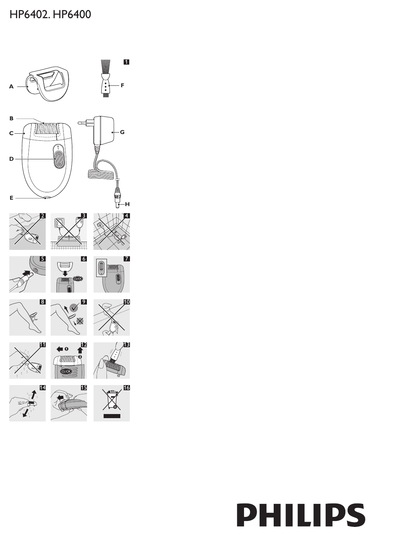# HP6402. HP6400



# **PHILIPS**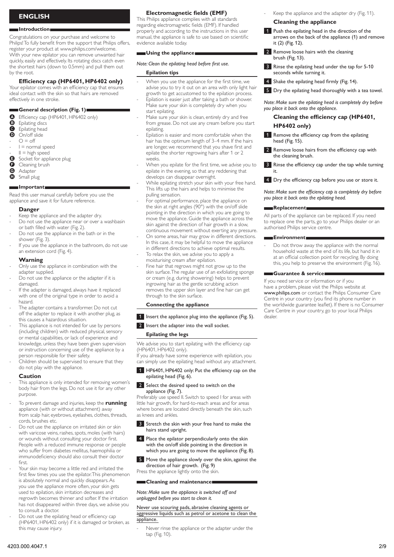# **English**

## **Introduction**

Congratulations on your purchase and welcome to Philips! To fully benefit from the support that Philips offers, register your product at www.philips.com/welcome. With your new epilator you can remove unwanted hair quickly, easily and effectively. Its rotating discs catch even the shortest hairs (down to 0.5mm) and pull them out by the root.

# **Efficiency cap (HP6401, HP6402 only)**

Your epilator comes with an efficiency cap that ensures ideal contact with the skin so that hairs are removed effectively in one stroke.

# **General description (Fig. 1)**

**A** Efficiency cap (HP6401, HP6402 only)<br>**B** Enilating discs

- **B** Epilating discs<br>**G** Epilating bead
- **O** Epilating head<br>**O** On/off slide
- On/off slide
- $O = \text{off}$ -
- $I = normal speed$ -
- $II = high speed$  $\bullet$  Socket for appliance plug -
- 
- **G** Cleaning brush<br>**G** Adapter
- **G** Adapter Small plug

# **Important**

Read this user manual carefully before you use the appliance and save it for future reference.

## **Danger**

- Keep the appliance and the adapter dry. -
- Do not use the appliance near or over a washbasin or bath filled with water (Fig. 2). -
- Do not use the appliance in the bath or in the shower (Fig. 3). -
- If you use the appliance in the bathroom, do not use an extension cord (Fig. 4). -

# **Warning**

- Only use the appliance in combination with the adapter supplied. -
- Do not use the appliance or the adapter if it is damaged. -
- If the adapter is damaged, always have it replaced with one of the original type in order to avoid a hazard. -
- The adapter contains a transformer. Do not cut off the adapter to replace it with another plug, as this causes a hazardous situation. -
- This appliance is not intended for use by persons (including children) with reduced physical, sensory or mental capabilities, or lack of experience and knowledge, unless they have been given supervision or instruction concerning use of the appliance by a person responsible for their safety. -
- Children should be supervised to ensure that they do not play with the appliance. -

## **Caution**

- This appliance is only intended for removing women's body hair from the legs. Do not use it for any other purpose. -
- To prevent damage and injuries, keep the **running** appliance (with or without attachment) away from scalp hair, eyebrows, eyelashes, clothes, threads, cords, brushes etc. -
- Do not use the appliance on irritated skin or skin with varicose veins, rashes, spots, moles (with hairs) or wounds without consulting your doctor first. People with a reduced immune response or people who suffer from diabetes mellitus, haemophilia or immunodeficiency should also consult their doctor first. -
- Your skin may become a little red and irritated the first few times you use the epilator. This phenomenon is absolutely normal and quickly disappears. As you use the appliance more often, your skin gets used to epilation, skin irritation decreases and regrowth becomes thinner and softer. If the irritation has not disappeared within three days, we advise you to consult a doctor. -
- Do not use the epilating head or efficiency cap (HP6401, HP6402 only) if it is damaged or broken, as this may cause injury. -

# **Electromagnetic fields (EMF)**

This Philips appliance complies with all standards regarding electromagnetic fields (EMF). If handled properly and according to the instructions in this user manual, the appliance is safe to use based on scientific evidence available today.

# **Using the appliance**

# *Note: Clean the epilating head before first use.*

# **Epilation tips**

-

- When you use the appliance for the first time, we advise you to try it out on an area with only light hair growth to get accustomed to the epilation process. -
- Epilation is easier just after taking a bath or shower. Make sure your skin is completely dry when you start epilating. -
- Make sure your skin is clean, entirely dry and free from grease. Do not use any cream before you start epilating. -
- Epilation is easier and more comfortable when the hair has the optimum length of 3–4 mm. If the hairs are longer, we recommend that you shave first and epilate the shorter regrowing hairs after 1 or 2 weeks. -
- When you epilate for the first time, we advise you to epilate in the evening, so that any reddening that develops can disappear overnight. -
- While epilating stretch your skin with your free hand. This lifts up the hairs and helps to minimise the pulling sensation. -
- For optimal performance, place the appliance on the skin at right angles (90°) with the on/off slide pointing in the direction in which you are going to move the appliance. Guide the appliance across the skin against the direction of hair growth in a slow, continuous movement without exerting any pressure.
- On some areas, hair may grow in different directions. In this case, it may be helpful to move the appliance in different directions to achieve optimal results. To relax the skin, we advise you to apply a - -
- moisturising cream after epilation. -
- Fine hair that regrows might not grow up to the skin surface. The regular use of an exfoliating sponge or cream (e.g. during showering) helps to prevent ingrowing hair as the gentle scrubbing action removes the upper skin layer and fine hair can get through to the skin surface.

# **Connecting the appliance**

- 1 Insert the appliance plug into the appliance (Fig. 5).
- 2 Insert the adapter into the wall socket.

## **Epilating the legs**

We advise you to start epilating with the efficiency cap (HP6401, HP6402 only).

If you already have some experience with epilation, you can simply use the epilating head without any attachment.

1 HP6401, HP6402 only: Put the efficiency cap on the epilating head (Fig. 6).

## 2 Select the desired speed to switch on the appliance (Fig. 7).

Preferably use speed II. Switch to speed I for areas with little hair growth, for hard-to-reach areas and for areas where bones are located directly beneath the skin, such as knees and ankles.

- **3** Stretch the skin with your free hand to make the hairs stand upright.
- **4** Place the epilator perpendicularly onto the skin with the on/off slide pointing in the direction in which you are going to move the appliance (Fig. 8).
- 5 Move the appliance slowly over the skin, against the direction of hair growth. (Fig. 9)

Press the appliance lightly onto the skin.

# **Cleaning and maintenance**

-

*Note: Make sure the appliance is switched off and unplugged before you start to clean it.* 

# Never use scouring pads, abrasive cleaning agents or aggressive liquids such as petrol or acetone to clean the appliance.

Never rinse the appliance or the adapter under the tap (Fig. 10).

Keep the appliance and the adapter dry (Fig. 11). -

## **Cleaning the appliance**

- 1 Push the epilating head in the direction of the arrows on the back of the appliance (1) and remove it (2) (Fig. 12).
- 2 Remove loose hairs with the cleaning brush (Fig. 13).
- **3** Rinse the epilating head under the tap for 5-10 seconds while turning it.
- **4** Shake the epilating head firmly (Fig. 14).
- 5 Dry the epilating head thoroughly with a tea towel.

*Note: Make sure the epilating head is completely dry before you place it back onto the appliance.*

# **Cleaning the efficiency cap (HP6401, HP6402 only)**

- 1 Remove the efficiency cap from the epilating head (Fig. 15).
- 2 Remove loose hairs from the efficiency cap with the cleaning brush.
- 3 Rinse the efficiency cap under the tap while turning it.
- **4** Dry the efficiency cap before you use or store it.

*Note: Make sure the efficiency cap is completely dry before you place it back onto the epilating head.*

# **Replacement**

All parts of the appliance can be replaced. If you need to replace one the parts, go to your Philips dealer or an authorised Philips service centre.

# **Environment**

Do not throw away the appliance with the normal household waste at the end of its life, but hand it in at an official collection point for recycling. By doing this, you help to preserve the environment (Fig. 16). -

# **Guarantee & service**

If you need service or information or if you have a problem, please visit the Philips website at www.philips.com or contact the Philips Consumer Care Centre in your country (you find its phone number in the worldwide guarantee leaflet). If there is no Consumer Care Centre in your country, go to your local Philips dealer.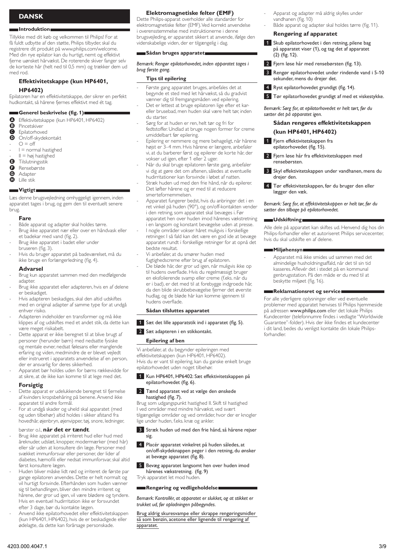# **Dansk**

## **Introduktion**

Tillykke med dit køb og velkommen til Philips! For at få fuldt udbytte af den støtte, Philips tilbyder, skal du registrere dit produkt på www.philips.com/welcome. Med din nye epilator kan du hurtigt, nemt og effektivt fjerne uønsket hårvækst. De roterende skiver fanger selv de korteste hår (helt ned til 0,5 mm) og trækker dem ud med rod.

# **Effektivitetskappe (kun HP6401, HP6402)**

Epilatoren har en effektivitetskappe, der sikrer en perfekt hudkontakt, så hårene fjernes effektivt med ét tag.

# **Generel beskrivelse (fig. 1)**

- **4** Effektivitetskappe (kun HP6401, HP6402)<br>**3** Pincetskiver
- **B** Pincetskiver
- **O** Epilatorhoved
- D On/off-skydekontakt
- $Q = \Delta f$  $I = normal$  hastighed - -
- $II = h\varnothing$ j hastighed
- **B** Tilslutningsstik  $\mathbf{d}$
- **G** Rensebørste<br>**G** Adapter
- 
- **G** Adapter<br>**G** Lille stik Lille stik

# **Vigtigt**

Læs denne brugsvejledning omhyggeligt igennem, inden apparatet tages i brug, og gem den til eventuelt senere brug.

# **Fare**

- Både apparat og adapter skal holdes tørre. -
- Brug ikke apparatet nær eller over en håndvask eller et badekar med vand (fig. 2). -
- Brug ikke apparatet i badet eller under bruseren (fig. 3). -
- Hvis du bruger apparatet på badeværelset, må du ikke bruge en forlængerledning (fig. 4). -

# **Advarsel**

- Brug kun apparatet sammen med den medfølgende adapter. -
- Brug ikke apparatet eller adapteren, hvis en af delene er beskadiget. -
- Hvis adapteren beskadiges, skal den altid udskiftes med en original adapter af samme type for at undgå enhver risiko. -
- Adapteren indeholder en transformer og må ikke klippes af og udskiftes med et andet stik, da dette kan være meget risikabelt. -
- Dette apparat er ikke beregnet til at blive brugt af personer (herunder børn) med nedsatte fysiske og mentale evner, nedsat følesans eller manglende erfaring og viden, medmindre de er blevet vejledt eller instrueret i apparatets anvendelse af en person, der er ansvarlig for deres sikkerhed. -
- Apparatet bør holdes uden for børns rækkevidde for at sikre, at de ikke kan komme til at lege med det. -

# **Forsigtig**

- Dette apparat er udelukkende beregnet til fjernelse af kvinders kropsbehåring på benene. Anvend ikke apparatet til andre formål. -
- For at undgå skader og uheld skal apparatet (med og uden tilbehør) altid holdes i sikker afstand fra hovedhår, øjenbryn, øjenvipper, tøj, snore, ledninger, -

## børster o.l., **når det er tændt**.

- Brug ikke apparatet på irriteret hud eller hud med åreknuder, udslæt, knopper, modermærker (med hår) eller sår uden at konsultere din læge. Personer med svækket immunforsvar eller personer, der lider af diabetes, hæmofili eller nedsat immunforsvar, skal altid først konsultere lægen. -
- Huden bliver måske lidt rød og irriteret de første par gange epilatoren anvendes. Dette er helt normalt og vil hurtigt forsvinde. Efterhånden som huden vænner sig til behandlingen, bliver den mindre irriteret og hårene, der gror ud igen, vil være blødere og tyndere. Hvis en eventuel hudirritation ikke er forsvundet efter 3 dage, bør du kontakte lægen. -
- Anvend ikke epilatorhovedet eller effektivitetskappen (kun HP6401, HP6402), hvis de er beskadigede eller ødelagte, da dette kan forårsage personskade. -

# **Elektromagnetiske felter (EMF)**

Dette Philips-apparat overholder alle standarder for elektromagnetiske felter (EMF). Ved korrekt anvendelse i overensstemmelse med instruktionerne i denne brugsvejleding, er apparatet sikkert at anvende, ifølge den videnskabelige viden, der er tilgængelig i dag.

# **Sådan bruges apparatet**

*Bemærk: Rengør epilatorhovedet, inden apparatet tages i brug første gang.*

# **Tips til epilering**

- Første gang apparatet bruges, anbefales det at begynde et sted med let hårvækst, så du gradvist vænner dig til fremgangsmåden ved epilering. -
- Det er lettest at bruge epilatoren lige efter et kareller brusebad, men huden skal være helt tør, inden du starter. -
- Sørg for at huden er ren, helt tør og fri for fedtstoffer. Undlad at bruge nogen former for creme umiddelbart før epilering. -
- Epilering er nemmere og mere behageligt, når hårene højst er 3–4 mm. Hvis hårene er længere, anbefaler vi, at du barberer først og epilerer de korte hår, der vokser ud igen, efter 1 eller 2 uger. -
- Når du skal bruge epilatoren første gang, anbefaler vi dig at gøre det om aftenen, således at eventuelle hudirritationer kan forsvinde i løbet af natten. -
- Stræk huden ud med den frie hånd, når du epilerer. Det løfter hårene og er med til at reducere smertefornemmelsen. -
- Apparatet fungerer bedst, hvis du anbringer det i en ret vinkel på huden (90°), og on/off-kontakten vender i den retning, som apparatet skal bevæges i. Før apparatet hen over huden imod hårenes vækstretning i en langsom og konstant bevægelse uden at presse. -
- I nogle områder vokser håret muligvis i forskellige retninger. I så fald kan det være en god ide at bevæge apparatet rundt i forskellige retninger for at opnå det bedste resultat.
- Vi anbefaler, at du smører huden med fugtighedscreme efter brug af epilatoren.
- De bløde hår, der gror ud igen, når muligvis ikke op til hudens overflade. Hvis du regelmæssigt bruger en eksfolierende svamp eller creme (f.eks. når du er i bad), er det med til at forebygge indgroede hår, da den blide skrubbebevægelse fjerner det øverste hudlag, og de bløde hår kan komme igennem til hudens overflade.

# **Sådan tilsluttes apparatet**

- 1 Sæt det lille apparatstik ind i apparatet (fig. 5).
- 2 Sæt adapteren i en stikkontakt.

# **Epilering af ben**

-

- -

Vi anbefaler, at du begynder epileringen med effektivitetskappen (kun HP6401, HP6402). Hvis du er vant til epilering, kan du ganske enkelt bruge epilatorhovedet uden noget tilbehør.

## 1 Kun HP6401, HP6402: Sæt effektivitetskappen på epilatorhovedet (fig. 6).

## 2 Tænd apparatet ved at vælge den ønskede hastighed (fig. 7).

Brug som udgangspunkt hastighed II. Skift til hastighed I ved områder med mindre hårvækst, ved svært tilgængelige områder og ved områder, hvor der er knogler lige under huden, f.eks. knæ og ankler.

- 3 Stræk huden ud med den frie hånd, så hårene rejser sig.
- 4 Placér apparatet vinkelret på huden således, at on/off-skydeknappen peger i den retning, du ønsker at bevæge apparatet (fig. 8).
- 5 Bevæg apparatet langsomt hen over huden imod hårenes vækstretning. (fig. 9) Tryk apparatet let mod huden.

# **Rengøring og vedligeholdelse**

*Bemærk: Kontrollér, at apparatet er slukket, og at stikket er trukket ud, før opladningen påbegyndes.* 

Brug aldrig skuresvampe eller skrappe rengøringsmidler så som benzin, acetone eller lignende til rengøring af apparatet.

- Apparat og adapter må aldrig skylles under vandhanen (fig. 10) -
- Både apparat og adapter skal holdes tørre (fig. 11). -

# **Rengøring af apparatet**

- 1 Skub epilatorhovedet i den retning, pilene bag på apparatet viser (1), og tag det af apparatet (2) (fig. 12).
- <sup>2</sup> Fjern løse hår med rensebørsten (fig. 13).
- **3** Rengør epilatorhovedet under rindende vand i 5-10 sekunder, mens du drejer det.
- **4** Ryst epilatorhovedet grundigt (fig. 14).
- 5 Tør epilatorhovedet grundigt af med et viskestykke.

*Bemærk: Sørg for, at epilatorhovedet er helt tørt, før du sætter det på apparatet igen.*

# **Sådan rengøres effektivitetskappen (kun HP6401, HP6402)**

- 1 Fjern effektivitetskappen fra epilatorhovedet (fig. 15).
- 2 Fjern løse hår fra effektivitetskappen med rensebørsten.
- **3** Skyl effektivitetskappen under vandhanen, mens du drejer den.
- **4** Tør effektivitetskappen, før du bruger den eller lægger den væk.

*Bemærk: Sørg for, at effektivitetskappen er helt tør, før du sætter den tilbage på epilatorhovedet.*

## **Udskiftning**

Alle dele på apparatet kan skiftes ud. Henvend dig hos din Philips-forhandler eller et autoriseret Philips servicecenter, hvis du skal udskifte en af delene.

## **Miljøhensyn**

Apparatet må ikke smides ud sammen med det almindelige husholdningsaffald, når det til sin tid kasseres. Aflevér det i stedet på en kommunal genbrugsstation. På den måde er du med til at beskytte miljøet (fig. 16). -

# **Reklamationsret og service**

For alle yderligere oplysninger eller ved eventuelle problemer med apparatet henvises til Philips hjemmeside på adressen www.philips.com eller det lokale Philips Kundecenter (telefonnumre findes i vedlagte "Worldwide Guarantee"-folder). Hvis der ikke findes et kundecenter i dit land, bedes du venligst kontakte din lokale Philipsforhandler.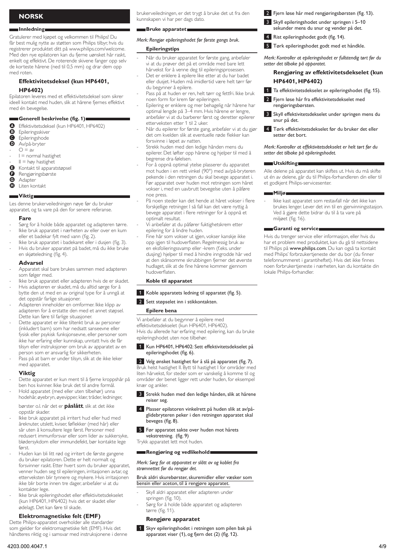# **Norsk**

## **Innledning**

Gratulerer med kjøpet og velkommen til Philips! Du får best mulig nytte av støtten som Philips tilbyr, hvis du registrerer produktet ditt på www.philips.com/welcome. Med den nye epilatoren kan du fjerne uønsket hår raskt, enkelt og effektivt. De roterende skivene fanger opp selv de korteste hårene (ned til 0,5 mm) og drar dem opp med roten.

# **Effektivitetsdeksel (kun HP6401, HP6402)**

Epilatoren leveres med et effektivitetsdeksel som sikrer ideell kontakt med huden, slik at hårene fjernes effektivt med én bevegelse.

# **Generell beskrivelse (fig. 1)**

- **A** Effektivitetsdeksel (kun HP6401, HP6402)<br>**B** Epileringsskiver
- **B** Epileringsskiver<br>**B** Epileringshode
- $\bullet$  Epileringshode
- Av/på-bryter
- $O = av$ - -
- I = normal hastighet
- $II = h\omega y$  hastighet -
- E Kontakt til apparatstøpsel
- **G** Rengjøringsbørste<br>**G** Adapter
- **G** Adapter<br>**G** Liten kor H Liten kontakt

**Viktig** Les denne brukerveiledningen nøye før du bruker

apparatet, og ta vare på den for senere referanse.

## **Fare**

- Sørg for å holde både apparatet og adapteren tørre. Ikke bruk apparatet i nærheten av eller over en kum eller et badekar fylt med vann (fig. 2). - -
- Ikke bruk apparatet i badekaret eller i dusjen (fig. 3). -
- Hvis du bruker apparatet på badet, må du ikke bruke en skjøteledning (fig. 4). -

## **Advarsel**

- Apparatet skal bare brukes sammen med adapteren som følger med. -
- Ikke bruk apparatet eller adapteren hvis de er skadet. -
- Hvis adapteren er skadet, må du alltid sørge for å bytte den ut med en av original type for å unngå at det oppstår farlige situasjoner. -
- Adapteren inneholder en omformer. Ikke klipp av adapteren for å erstatte den med et annet støpsel. Dette kan føre til farlige situasjoner. -
- Dette apparatet er ikke tiltenkt bruk av personer (inkludert barn) som har nedsatt sanseevne eller fysisk eller psykisk funksjonsevne, eller personer som ikke har erfaring eller kunnskap, unntatt hvis de får tilsyn eller instruksjoner om bruk av apparatet av en person som er ansvarlig for sikkerheten. -
- Pass på at barn er under tilsyn, slik at de ikke leker med apparatet. -

## **Viktig**

- Dette apparatet er kun ment til å fjerne kroppshår på ben hos kvinner. Ikke bruk det til andre formål. -
- Hold apparatet (med eller uten tilbehør) unna hodehår, øyebryn, øyevipper, klær, tråder, ledninger, -
- børster o.l. når det er **påslått**, slik at det ikke oppstår skader.
- Ikke bruk apparatet på irritert hud eller hud med åreknuter, utslett, kviser, føflekker (med hår) eller sår uten å konsultere lege først. Personer med redusert immunforsvar eller som lider av sukkersyke, blødersykdom eller immundefekt, bør kontakte lege først -
- Huden kan bli litt rød og irritert de første gangene du bruker epilatoren. Dette er helt normalt og forsvinner raskt. Etter hvert som du bruker apparatet, venner huden seg til epileringen, irritasjonen avtar, og etterveksten blir tynnere og mykere. Hvis irritasjonen ikke blir borte innen tre dager, anbefaler vi at du kontakter lege. -
- Ikke bruk epileringshodet eller effektivitetsdekselet (kun HP6401, HP6402) hvis det er skadet eller ødelagt. Det kan føre til skade. -

# **Elektromagnetiske felt (EMF)**

Dette Philips-apparatet overholder alle standarder som gjelder for elektromagnetiske felt (EMF). Hvis det håndteres riktig og i samsvar med instruksjonene i denne brukerveiledningen, er det trygt å bruke det ut fra den kunnskapen vi har per dags dato.

## **Bruke apparatet**

# *Merk: Rengjør epileringshodet før første gangs bruk.*

# **Epileringstips**

- Når du bruker apparatet for første gang, anbefaler vi at du prøver det på et område med bare lett hårvekst for å venne deg til epileringsprosessen. -
- Det er enklere å epilere like etter at du har badet eller dusjet. Huden må imidlertid være helt tørr før du begynner å epilere. -
- Pass på at huden er ren, helt tørr og fettfri. Ikke bruk noen form for krem før epileringen. -
- Epilering er enklere og mer behagelig når hårene har optimal lengde på 3–4 mm. Hvis hårene er lengre, anbefaler vi at du barberer først og deretter epilerer etterveksten etter 1 til 2 uker. -
- Når du epilerer for første gang, anbefaler vi at du gjør det om kvelden slik at eventuelle røde flekker kan forsvinne i løpet av natten. -
- Strekk huden med den ledige hånden mens du epilerer. Det løfter opp hårene og hjelper til med å begrense dra-følelsen. -
- For å oppnå optimal ytelse plasserer du apparatet mot huden i en rett vinkel (90°) med av/på-bryteren pekende i den retningen du skal bevege apparatet i. Før apparatet over huden mot retningen som håret vokser i, med en uavbrutt bevegelse uten å påføre noe press. -
- På noen steder kan det hende at håret vokser i flere forskjellige retninger. I så fall kan det være nyttig å bevege apparatet i flere retninger for å oppnå et optimalt resultat. -
- Vi anbefaler at du påfører fuktighetskrem etter epilering for å lindre huden. -
- Fine hår som vokser ut igjen, vokser kanskje ikke opp igjen til hudoverflaten. Regelmessig bruk av en eksfolieringssvamp eller -krem (f.eks. under dusjing) hjelper til med å hindre inngrodde hår ved at den skånsomme skrubbingen fjerner det øverste hudlaget, slik at de fine hårene kommer gjennom hudoverflaten.

# **Koble til apparatet**

1 Koble apparatets ledning til apparatet (fig. 5).

# 2 Sett støpselet inn i stikkontakten.

## **Epilere bena**

-

Vi anbefaler at du begynner å epilere med effektivitetsdekselet (kun HP6401, HP6402). Hvis du allerede har erfaring med epilering, kan du bruke epileringshodet uten noe tilbehør.

# 1 Kun HP6401, HP6402: Sett effektivitetsdekselet på epileringshodet (fig. 6).

2 Velg ønsket hastighet for å slå på apparatet (fig. 7). Bruk helst hastighet II. Bytt til hastighet I for områder med liten hårvekst, for steder som er vanskelig å komme til og områder der benet ligger rett under huden, for eksempel knær og ankler.

- **3** Strekk huden med den ledige hånden, slik at hårene reiser seg.
- 4 Plasser epilatoren vinkelrett på huden slik at av/påglidebryteren peker i den retningen apparatet skal beveges (fig. 8).
- **5** Før apparatet sakte over huden mot hårets vekstretning. (fig. 9) Trykk apparatet lett mot huden.

# **Rengjøring og vedlikehold**

*Merk: Sørg for at apparatet er slått av og koblet fra strømnettet før du rengjør det.* 

# Bruk aldri skurebørster, skuremidler eller væsker som bensin eller aceton, til å rengjøre apparatet.

- Skyll aldri apparatet eller adapteren under springen (fig. 10).
- Sørg for å holde både apparatet og adapteren tørre (fig. 11). -

# **Rengjøre apparatet**

1 Skyv epileringshodet i retningen som pilen bak på apparatet viser (1), og fjern det (2) (fig. 12).

- 2 Fiern løse hår med rengjøringsbørsten (fig. 13).
- 3 Skyll epileringshodet under springen i 5-10 sekunder mens du snur og vender på det.
- **4** Rist epileringshodet godt (fig. 14).
- 5 Tørk epileringshodet godt med et håndkle.

*Merk: Kontroller at epileringshodet er fullstendig tørt før du setter det tilbake på apparatet.*

# **Rengjøring av effektivitetsdekselet (kun HP6401, HP6402)**

- 1 Ta effektivitetsdekselet av epileringshodet (fig. 15).
- <sup>2</sup> Fjern løse hår fra effektivitetsdekselet med rengjøringsbørsten.
- 3 Skyll effektivitetsdekselet under springen mens du snur på det.
- 4 Tørk effektivitetsdekselet før du bruker det eller setter det bort.

*Merk: Kontroller at effektivitetsdekselet er helt tørt før du setter det tilbake på epileringshodet.*

# **Utskifting**

Alle delene på apparatet kan skiftes ut. Hvis du må skifte ut én av delene, går du til Philips-forhandleren din eller til et godkjent Philips-servicesenter.

## **Miljø**

Ikke kast apparatet som restavfall når det ikke kan brukes lenger. Lever det inn til en gjenvinningsstasjon. Ved å gjøre dette bidrar du til å ta vare på miljøet (fig. 16). -

# **Garanti og service**

Hvis du trenger service eller informasjon, eller hvis du har et problem med produktet, kan du gå til nettsidene til Philips på www.philips.com. Du kan også ta kontakt med Philips' forbrzukertjeneste der du bor (du finner telefonnummeret i garantiheftet). Hvis det ikke finnes noen forbrukertjeneste i nærheten, kan du kontakte din lokale Philips-forhandler.

-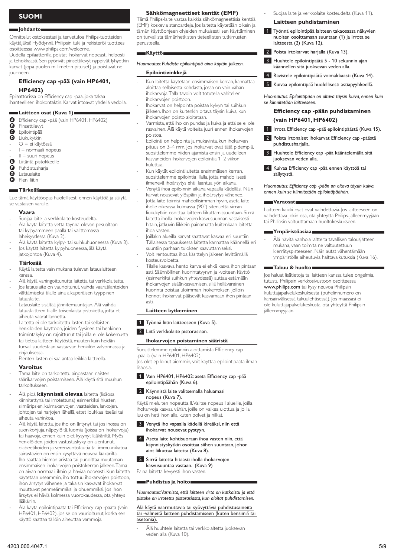# **Suomi**

## **Johdanto**

Onnittelut ostoksestasi ja tervetuloa Philips-tuotteiden käyttäjäksi! Hyödynnä Philipsin tuki ja rekisteröi tuotteesi osoitteessa www.philips.com/welcome.

Uudella epilaattorilla poistat ihokarvat nopeasti, helposti ja tehokkaasti. Sen pyörivät pinsettilevyt nyppivät lyhyetkin karvat (jopa puolen millimetrin pituiset) ja poistavat ne juurineen.

# **Efficiency cap -pää (vain HP6401, HP6402)**

Epilaattorissa on Efficiency cap -pää, joka takaa ihanteellisen ihokontaktin. Karvat irtoavat yhdellä vedolla.

# **Laitteen osat (Kuva 1)**

- **O** Efficiency cap -pää (vain HP6401, HP6402)<br>**D** Pinsettilevyt
- **B** Pinsettilevyt<br> **B** Epilointipää
- G Epilointipää<br>**O** Liukukytkin
- D Liukukytkin
- O = ei käytössä  $I =$  normaali nopeus - -
- $II =$  suuri nopeus
- $\mathbf{d}$
- **B** Liitäntä pistokkeelle
- **O** Puhdistusharja
- **G** Latauslaite Pieni liitin

## **Tärkeää**

Lue tämä käyttöopas huolellisesti ennen käyttöä ja säilytä se vastaisen varalle.

## **Vaara**

- Suojaa laite ja verkkolaite kosteudelta. -
- Älä käytä laitetta vettä täynnä olevan pesualtaan tai kylpyammeen päällä tai välittömässä läheisyydessä (Kuva 2). -
- Älä käytä laitetta kylpy- tai suihkuhuoneessa (Kuva 3). Jos käytät laitetta kylpyhuoneessa, älä käytä - -
- jatkojohtoa (Kuva 4).

# **Tärkeää**

- Käytä laitetta vain mukana tulevan latauslaitteen kanssa. -
- Älä käytä vahingoittunutta laitetta tai verkkolaitetta. -
- Jos latauslaite on vaurioitunut, vaihda vaaratilanteiden välttämiseksi tilalle aina alkuperäisen tyyppinen latauslaite. -
- Latauslaite sisältää jännitemuuntajan. Älä vaihda latauslaitteen tilalle toisenlaista pistoketta, jotta et aiheuta vaaratilannetta. -
- Laitetta ei ole tarkoitettu lasten tai sellaisten henkilöiden käyttöön, joiden fyysinen tai henkinen toimintakyky on rajoittunut tai joilla ei ole kokemusta tai tietoa laitteen käytöstä, muuten kuin heidän turvallisuudestaan vastaavan henkilön valvonnassa ja ohjauksessa. -
- Pienten lasten ei saa antaa leikkiä laitteella. -

## **Varoitus**

- Tämä laite on tarkoitettu ainoastaan naisten säärikarvojen poistamiseen. Älä käytä sitä muuhun tarkoitukseen. -
- Älä pidä **käynnissä olevaa** laitetta (lisäosa kiinnitettynä tai irrotettuna) esimerkiksi hiusten, silmäripsien, kulmakarvojen, vaatteiden, lankojen, johtojen tai harjojen lähellä, ettet loukkaa itseäsi tai aiheuta vahinkoa. -
- Älä käytä laitetta, jos iho on ärtynyt tai jos ihossa on suonikohjuja, näppylöitä, luomia (joissa on ihokarvoja) tai haavoja, ennen kuin olet kysynyt lääkäriltä. Myös henkilöiden, joiden vastustuskyky on alentunut, diabeetikoiden ja verenvuototautia tai immuunikatoa sairastavien on ensin kysyttävä neuvoa lääkäriltä. -
- Iho saattaa hieman aristaa tai punoittaa muutaman ensimmäisen ihokarvojen poistokerran jälkeen. Tämä on aivan normaali ilmiö ja häviää nopeasti. Kun laitetta käytetään useammin, iho tottuu ihokarvojen poistoon, ihon ärsytys vähenee ja takaisin kasvavat ihokarvat muuttuvat pehmeämmiksi ja ohuemmiksi. Jos ihon ärsytys ei häviä kolmessa vuorokaudessa, ota yhteys lääkäriin. -
- Älä käytä epilointipäätä tai Efficiency cap -päätä (vain HP6401, HP6402), jos se on vaurioitunut, koska sen käyttö saattaa tällöin aiheuttaa vammoja. -

# **Sähkömagneettiset kentät (EMF)**

Tämä Philips-laite vastaa kaikkia sähkömagneettisia kenttiä (EMF) koskevia standardeja. Jos laitetta käytetään oikein ja tämän käyttöohjeen ohjeiden mukaisesti, sen käyttäminen on turvallista tämänhetkisten tieteellisten tutkimusten perusteella.

## **Käyttö**

*Huomautus: Puhdista epilointipää aina käytön jälkeen.*

# **Epilointivinkkejä**

- Kun laitetta käytetään ensimmäisen kerran, kannattaa aloittaa sellaisesta kohdasta, jossa on vain vähän ihokarvoja. Tällä tavoin voit totutella vähitellen ihokarvojen poistoon. -
- Ihokarvat on helpointa poistaa kylvyn tai suihkun jälkeen. Ihon on kuitenkin oltava täysin kuiva, kun ihokarvojen poisto aloitetaan. -
- Varmista, että iho on puhdas ja kuiva ja että se ei ole rasvainen. Älä käytä voiteita juuri ennen ihokarvojen poistoa. -
- Epilointi on helpointa ja mukavinta, kun ihokarvan pituus on 3–4 mm. Jos ihokarvat ovat tätä pidempiä, suosittelemme niiden ajamista ensin ja uudelleen kasvaneiden ihokarvojen epilointia 1–2 viikon kuluttua. -
- Kun käytät epilointilaitetta ensimmäisen kerran, suosittelemme epilointia illalla, jotta mahdollisesti ilmenevä ihoärsytys ehtii laantua yön aikana. Venytä ihoa epiloinnin aikana vapaalla kädelläsi. Näin - -
- karvat nousevat ylöspäin ja ihoärsytys vähenee. Jotta laite toimisi mahdollisimman hyvin, aseta laite -
- iholle oikeassa kulmassa (90°) siten, että virran liukukytkin osoittaa laitteen liikuttamissuuntaan. Siirrä laitetta iholla ihokarvojen kasvusuunnan vastaisesti hitain, jatkuvin liikkein painamatta kuitenkaan laitetta ihoa vasten.
- Joillakin alueilla karvat saattavat kasvaa eri suuntiin. Tällaisessa tapauksessa laitetta kannattaa käännellä eri suuntiin parhaan tuloksen saavuttamiseksi. -
- Voit rentouttaa ihoa käsittelyn jälkeen levittämällä kosteusvoidetta. - -
	- Tilalle kasvava hento karva ei ehkä kasva ihon pintaan asti. Säännöllinen kuorintatyynyn ja -voiteen käyttö (esimerkiksi suihkun yhteydessä) auttaa estämään ihokarvojen sisäänkasvamisen, sillä hellävarainen kuorinta poistaa uloimman ihokerroksen, jolloin hennot ihokarvat pääsevät kasvamaan ihon pintaan asti.

## **Laitteen kytkeminen**

1 Työnnä liitin laitteeseen (Kuva 5).

**2** Liitä verkkolaite pistorasiaan.

# **Ihokarvojen poistaminen sääristä**

Suosittelemme epiloinnin aloittamista Efficiency cap -päällä (vain HP6401, HP6402).

Jos olet epiloinut aiemmin, voit käyttää epilointipäätä ilman lisäosia.

1 Vain HP6401, HP6402: aseta Efficiency cap -pää epilointipäähän (Kuva 6).

## **2** Käynnistä laite valitsemalla haluamasi nopeus (Kuva 7).

Käytä mieluiten nopeutta II. Valitse nopeus I alueille, joilla ihokarvoja kasvaa vähän, joille on vaikea ulottua ja joilla luu on heti ihon alla, kuten polvet ja nilkat.

 3 Venytä iho vapaalla kädellä kireäksi, niin että ihokarvat nousevat pystyyn.

## 4 Aseta laite kohtisuoraan ihoa vasten niin, että käynnistyskytkin osoittaa siihen suuntaan, johon aiot liikuttaa laitetta (Kuva 8).

**5** Siirrä laitetta hitaasti iholla ihokarvojen

kasvusuuntaa vastaan. (Kuva 9) Paina laitetta kevyesti ihon vasten.

#### **Puhdistus ja hoito**

-

*Huomautus: Varmista, että laitteen virta on katkaistu ja että pistoke on irrotettu pistorasiasta, kun aloitat puhdistamisen.* 

# Älä käytä naarmuttavia tai syövyttäviä puhdistusaineita tai -välineitä laitteen puhdistamiseen (kuten bensiiniä tai asetonia).

Älä huuhtele laitetta tai verkkolaitetta juoksevan veden alla (Kuva 10).

- Suojaa laite ja verkkolaite kosteudelta (Kuva 11).
- **Laitteen puhdistaminen**

-

- 1 Työnnä epilointipää laitteen takaosassa näkyvien nuolten osoittamaan suuntaan (1) ja irrota se laitteesta (2) (Kuva 12).
- **2** Poista irtokarvat harjalla (Kuva 13).
- 3 Huuhtele epilointipäätä 5 10 sekunnin ajan käännellen sitä juoksevan veden alla.
- 4 Ravistele epilointipäätä voimakkaasti (Kuva 14).
- **5** Kuivaa epilointipää huolellisesti astiapyyhkeellä.

*Huomautus: Epilointipään on oltava täysin kuiva, ennen kuin se kiinnitetään laitteeseen.*

# **Efficiency cap -pään puhdistaminen (vain HP6401, HP6402)**

- 1 Irrota Efficiency cap -pää epilointipäästä (Kuva 15).
- 2 Poista irtonaiset ihokarvat Efficiency cap -päästä puhdistusharjalla.
- **3** Huuhtele Efficiency cap -pää kääntelemällä sitä juoksevan veden alla.
- 4 Kuivaa Efficiency cap -pää ennen käyttöä tai säilytystä.

*Huomautus: Efficiency cap -pään on oltava täysin kuiva, ennen kuin se kiinnitetään epilointipäähän.*

## **Varaosat**

Laitteen kaikki osat ovat vaihdettavia. Jos laitteeseen on vaihdettava jokin osa, ota yhteyttä Philips-jälleenmyyjään tai Philipsin valtuuttamaan huoltokeskukseen.

# **Ympäristöasiaa**

Älä hävitä vanhoja laitteita tavallisen talousjätteen mukana, vaan toimita ne valtuutettuun kierrätyspisteeseen. Näin autat vähentämään ympäristölle aiheutuvia haittavaikutuksia (Kuva 16). -

## **Takuu & huolto**

Jos haluat lisätietoja tai laitteen kanssa tulee ongelmia, tutustu Philipsin verkkosivustoon osoitteessa www.philips.com tai kysy neuvoa Philipsin kuluttajapalvelukeskuksesta (puhelinnumero on kansainvälisessä takuulehtisessä). Jos maassasi ei ole kuluttajapalvelukeskusta, ota yhteyttä Philipsin jälleenmyyjään.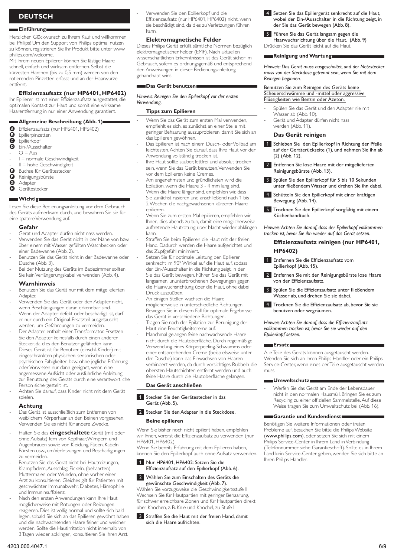# **Deutsch**

## **Einführung**

Herzlichen Glückwunsch zu Ihrem Kauf und willkommen bei Philips! Um den Support von Philips optimal nutzen zu können, registrieren Sie Ihr Produkt bitte unter www. philips.com/welcome.

Mit Ihrem neuen Epilierer können Sie lästige Haare schnell, einfach und wirksam entfernen. Selbst die kürzesten Härchen (bis zu 0,5 mm) werden von den rotierenden Pinzetten erfasst und an der Haarwurzel entfernt.

# **Effizienzaufsatz (nur HP6401, HP6402)**

Ihr Epilierer ist mit einer Effizienzaufsatz ausgestattet, die optimalen Kontakt zur Haut und somit eine wirksame Haarentfernung in nur einer Anwendung garantiert.

# **Allgemeine Beschreibung (Abb. 1)**

- **A** Effizienzaufsatz (nur HP6401, HP6402)<br>**B** Epilierpinzetten
- **B** Epilierpinzetten<br>**B** Epilierkopf
- **O** Epilierkopf
- Ein-/Ausschalter
- $Q = A_{\text{LIS}}$ -
- I = normale Geschwindigkeit -
- II = hohe Geschwindigkeit -
- Buchse für Gerätestecker
- **G** Reinigungsbürste
- **G** Adapter Gerätestecker

# **Wichtig**

# Lesen Sie diese Bedienungsanleitung vor dem Gebrauch

des Geräts aufmerksam durch, und bewahren Sie sie für eine spätere Verwendung auf.

# **Gefahr**

- Gerät und Adapter dürfen nicht nass werden. -
- Verwenden Sie das Gerät nicht in der Nähe von bzw. über einem mit Wasser gefüllten Waschbecken oder einer Badewanne (Abb. 2). -
- Benutzen Sie das Gerät nicht in der Badewanne oder Dusche (Abb. 3). -
- Bei der Nutzung des Geräts im Badezimmer sollten Sie kein Verlängerungskabel verwenden (Abb. 4). -

## **Warnhinweis**

- Benutzen Sie das Gerät nur mit dem mitgelieferten **Adapter** -
- Verwenden Sie das Gerät oder den Adapter nicht, wenn Beschädigungen daran erkennbar sind. -
- Wenn der Adapter defekt oder beschädigt ist, darf er nur durch ein Original-Ersatzteil ausgetauscht werden, um Gefährdungen zu vermeiden. -
- Der Adapter enthält einen Transformator. Ersetzen Sie den Adapter keinesfalls durch einen anderen Stecker, da dies den Benutzer gefährden kann. -
- Dieses Gerät ist für Benutzer (einschl. Kinder) mit eingeschränkten physischen, sensorischen oder psychischen Fähigkeiten bzw. ohne jegliche Erfahrung oder Vorwissen nur dann geeignet, wenn eine angemessene Aufsicht oder ausführliche Anleitung zur Benutzung des Geräts durch eine verantwortliche Person sichergestellt ist. -
- Achten Sie darauf, dass Kinder nicht mit dem Gerät spielen. -

## **Achtung**

- Das Gerät ist ausschließlich zum Entfernen von weiblichem Körperhaar an den Beinen vorgesehen. Verwenden Sie es nicht für andere Zwecke. -
- Halten Sie das **eingeschaltete** Gerät (mit oder ohne Aufsatz) fern von Kopfhaar, Wimpern und Augenbrauen sowie von Kleidung, Fäden, Kabeln, Bürsten usw., um Verletzungen und Beschädigungen zu vermeiden. -
- Benutzen Sie das Gerät nicht bei Hautreizungen, Krampfadern, Ausschlag, Pickeln, (behaarten) Muttermalen oder Wunden, ohne vorher einen Arzt zu konsultieren. Gleiches gilt für Patienten mit geschwächter Immunabwehr, Diabetes, Hämophilie und Immuninsuffizienz. -
- Nach den ersten Anwendungen kann Ihre Haut möglicherweise mit Rötungen oder Reizungen reagieren. Dies ist völlig normal und sollte sich bald legen, sobald Sie sich an das Epilieren gewöhnt haben und die nachwachsenden Haare feiner und weicher werden. Sollte die Hautirritation nicht innerhalb von 3 Tagen wieder abklingen, konsultieren Sie Ihren Arzt. -

Verwenden Sie den Epilierkopf und die Effizienzaufsatz (nur HP6401, HP6402) nicht, wenn sie beschädigt sind, da dies zu Verletzungen führen kann.

# **Elektromagnetische Felder**

Dieses Philips Gerät erfüllt sämtliche Normen bezüglich elektromagnetischer Felder (EMF). Nach aktuellen wissenschaftlichen Erkenntnissen ist das Gerät sicher im Gebrauch, sofern es ordnungsgemäß und entsprechend den Anweisungen in dieser Bedienungsanleitung gehandhabt wird.

## **Das Gerät benutzen**

-

-

-

-

-

-

## *Hinweis: Reinigen Sie den Epilierkopf vor der ersten Verwendung.*

## **Tipps zum Epilieren**

- Wenn Sie das Gerät zum ersten Mal verwenden, empfiehlt es sich, es zunächst an einer Stelle mit geringer Behaarung auszuprobieren, damit Sie sich an das Epilieren gewöhnen. -
- Das Epilieren ist nach einem Dusch- oder Vollbad am leichtesten. Achten Sie darauf, dass Ihre Haut vor der Anwendung vollständig trocken ist. -
- Ihre Haut sollte sauber, fettfrei und absolut trocken sein, wenn Sie das Gerät benutzen. Verwenden Sie vor dem Epilieren keine Cremes. -
- Am angenehmsten und gründlichsten wird die Epilation, wenn die Haare 3 - 4 mm lang sind. Wenn die Haare länger sind, empfehlen wir, dass Sie zunächst rasieren und anschließend nach 1 bis 2 Wochen die nachgewachsenen kürzeren Haare epilieren.
- Wenn Sie zum ersten Mal epilieren, empfehlen wir Ihnen, dies abends zu tun, damit eine möglicherweise auftretende Hautrötung über Nacht wieder abklingen kann. -
- Straffen Sie beim Epilieren die Haut mit der freien Hand. Dadurch werden die Haare aufgerichtet und das Zupfgefühl minimiert.
- Setzen Sie für optimale Leistung den Epilierer senkrecht im 90° Winkel auf die Haut auf, sodass der Ein-/Ausschalter in die Richtung zeigt, in der Sie das Gerät bewegen. Führen Sie das Gerät mit langsamen, ununterbrochenen Bewegungen gegen die Haarwuchsrichtung über die Haut, ohne dabei Druck auszuüben.
- An einigen Stellen wachsen die Haare möglicherweise in unterschiedliche Richtungen. Bewegen Sie in diesem Fall für optimale Ergebnisse das Gerät in verschiedene Richtungen.
- Tragen Sie nach der Epilation zur Beruhigung der Haut eine Feuchtigkeitscreme auf. -
- Manchmal gelangen feine nachwachsende Haare nicht durch die Hautoberfläche. Durch regelmäßige Verwendung eines Körperpeeling-Schwamms oder einer entsprechenden Creme (beispielsweise unter der Dusche) kann das Einwachsen von Haaren verhindert werden, da durch vorsichtiges Rubbeln die obersten Hautschichten entfernt werden und auch feine Haare durch die Hautoberfläche gelangen.

# **Das Gerät anschließen**

1 Stecken Sie den Gerätestecker in das Gerät (Abb. 5).

# 2 Stecken Sie den Adapter in die Steckdose. **Beine epilieren**

Wenn Sie bisher noch nicht epiliert haben, empfehlen wir Ihnen, vorerst die Effizienzaufsatz zu verwenden (nur HP6401, HP6402).

Wenn Sie bereits Erfahrung mit dem Epilieren haben, können Sie den Epilierkopf auch ohne Aufsatz verwenden.

## **1** Nur HP6401, HP6402: Setzen Sie die Effizienzaufsatz auf den Epilierkopf (Abb. 6).

Wählen Sie zum Einschalten des Geräts die gewünschte Geschwindigkeit (Abb. 7).

Wählen Sie vorzugsweise die Geschwindigkeitsstufe II. Wechseln Sie für Hautpartien mit geringer Behaarung, für schwer erreichbare Zonen und für Hautpartien direkt über Knochen, z. B. Knie und Knöchel, zu Stufe I.

Straffen Sie die Haut mit der freien Hand, damit sich die Haare aufrichten.

- 4 Setzen Sie das Epiliergerät senkrecht auf die Haut, wobei der Ein-/Ausschalter in die Richtung zeigt, in der Sie das Gerät bewegen (Abb. 8).
- 5 Führen Sie das Gerät langsam gegen die Haarwuchsrichtung über die Haut. (Abb. 9) Drücken Sie das Gerät leicht auf die Haut.

## **Reinigung und Wartung**

*Hinweis: Das Gerät muss ausgeschaltet, und der Netzstecker muss von der Steckdose getrennt sein, wenn Sie mit dem Reinigen beginnen.* 

# Benutzen Sie zum Reinigen des Geräts keine Scheuerschwämme und -mittel oder aggressive Flüssigkeiten wie Benzin oder Azeton.

- Spülen Sie das Gerät und den Adapter nie mit Wasser ab (Abb. 10). -
- Gerät und Adapter dürfen nicht nass werden (Abb. 11). -

# **Das Gerät reinigen**

- 1 Schieben Sie den Epilierkopf in Richtung der Pfeile auf der Geräterückseite (1), und nehmen Sie ihn ab (2) (Abb. 12).
- 2 Entfernen Sie lose Haare mit der mitgelieferten Reinigungsbürste (Abb. 13).
- 3 Spülen Sie den Epilierkopf für 5 bis 10 Sekunden unter fließendemWasser und drehen Sie ihn dabei.
- Schütteln Sie den Epilierkopf mit einer kräftigen Bewegung (Abb. 14).
- 5 Trocknen Sie den Epilierkopf sorgfältig mit einem Küchenhandtuch.

*Hinweis: Achten Sie darauf, dass der Epilierkopf vollkommen trocken ist, bevor Sie ihn wieder auf das Gerät setzen.*

# **Effizienzaufsatz reinigen (nur HP6401, HP6402)**

- 1 Entfernen Sie die Effizienzaufsatz vom Epilierkopf (Abb. 15).
- 2 Entfernen Sie mit der Reinigungsbürste lose Haare von der Effizienzaufsatz.
- **3** Spülen Sie die Effizienzaufsatz unter fließendem Wasser ab, und drehen Sie sie dabei.
- **4** Trocknen Sie die Effizienzaufsatz ab, bevor Sie sie benutzen oder wegräumen.

*Hinweis: Achten Sie darauf, dass die Effizienzaufsatz vollkommen trocken ist, bevor Sie sie wieder auf den Epilierkopf setzen.*

#### **Ersatz**

Alle Teile des Geräts können ausgetauscht werden. Wenden Sie sich an Ihren Philips Händler oder ein Philips Service-Center, wenn eines der Teile ausgetauscht werden muss.

# **Umweltschutz**

Werfen Sie das Gerät am Ende der Lebensdauer nicht in den normalen Hausmüll. Bringen Sie es zum Recycling zu einer offiziellen Sammelstelle. Auf diese Weise tragen Sie zum Umweltschutz bei (Abb. 16). -

# **Garantie und Kundendienst**

Benötigen Sie weitere Informationen oder treten Probleme auf, besuchen Sie bitte die Philips Website (www.philips.com), oder setzen Sie sich mit einem Philips Service-Center in Ihrem Land in Verbindung (Telefonnummer siehe Garantieschrift). Sollte es in Ihrem Land kein Service-Center geben, wenden Sie sich bitte an Ihren Philips Händler.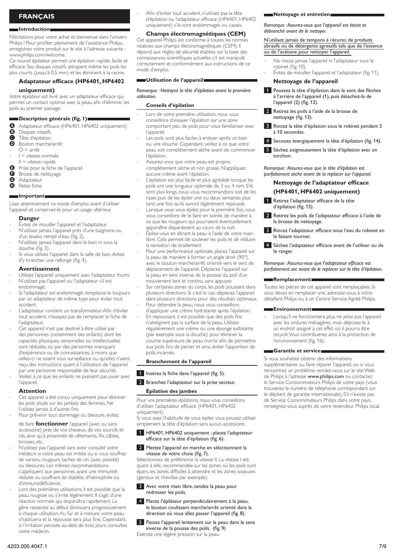# **Français**

#### **Introduction**

Félicitations pour votre achat et bienvenue dans l'univers Philips ! Pour profiter pleinement de l'assistance Philips, enregistrez votre produit sur le site à l'adresse suivante : www.philips.com/welcome.

Ce nouvel épilateur permet une épilation rapide, facile et efficace. Ses disques rotatifs attrapent même les poils les plus courts (jusqu'à 0,5 mm) et les éliminent à la racine.

# **Adaptateur efficace (HP6401, HP6402**

# **uniquement)**

Votre épilateur est livré avec un adaptateur efficace qui permet un contact optimal avec la peau afin d'éliminer les poils au premier passage.

# **Description générale (fig. 1)**

- Adaptateur efficace (HP6401, HP6402 uniquement)<br> **B** Disques rotatifs
- **B** Disques rotatifs<br>**B** Tête d'épilation
- C Tête d'épilation
- Bouton marche/arrêt
- $O = \text{arrêt}$ -
- I = vitesse normale  $II =$  vitesse rapide -
- E Prise pour la fiche de l'appareil -
- 
- **G** Brosse de nettoyage<br>**G** Adaptateur
- **G** Adaptateur<br>**G** Petite fiche Petite fiche

# **Important**

Lisez attentivement ce mode d'emploi avant d'utiliser l'appareil et conservez-le pour un usage ultérieur.

#### **Danger**

- Évitez de mouiller l'appareil et l'adaptateur. N'utilisez jamais l'appareil près d'une baignoire ou - -
- d'un lavabo rempli d'eau (fig. 2). N'utilisez jamais l'appareil dans le bain ni sous la -
- douche (fig. 3). Si vous utilisez l'appareil dans la salle de bain, évitez d'y brancher une rallonge (fig. 4). -

## **Avertissement**

- Utilisez l'appareil uniquement avec l'adaptateur fourni. N'utilisez pas l'appareil ou l'adaptateur s'il est endommagé. - -
- Si l'adaptateur est endommagé, remplacez-le toujours par un adaptateur de même type pour éviter tout accident. -
- L'adaptateur contient un transformateur. Afin d'éviter tout accident, n'essayez pas de remplacer la fiche de l'adaptateur. -
- Cet appareil n'est pas destiné à être utilisé par des personnes (notamment des enfants) dont les capacités physiques, sensorielles ou intellectuelles sont réduites, ou par des personnes manquant d'expérience ou de connaissances, à moins que celles-ci ne soient sous surveillance ou qu'elles n'aient reçu des instructions quant à l'utilisation de l'appareil par une personne responsable de leur sécurité. -
- Veillez à ce que les enfants ne puissent pas jouer avec l'appareil. -

#### **Attention**

- Cet appareil a été conçu uniquement pour éliminer les poils situés sur les jambes des femmes. Ne l'utilisez jamais à d'autres fins. -
- Pour prévenir tout dommage ou blessure, évitez -
- de faire **fonctionner** l'appareil (avec ou sans accessoire) près de vos cheveux, de vos sourcils et cils, ainsi qu'à proximité de vêtements, fils, câbles, brosses, etc.
- N'utilisez pas l'appareil sans avoir consulté votre médecin si votre peau est irritée ou si vous souffrez de varices, rougeurs, taches de vin (avec pilosité) ou blessures. Les mêmes recommandations s'appliquent aux personnes ayant une immunité réduite ou souffrant de diabète, d'hémophilie ou d'immunodéficience. -
- Lors des premières utilisations, il est possible que la peau rougisse ou s'irrite légèrement. Il s'agit d'une réaction normale qui disparaîtra rapidement. La gêne ressentie au début diminuera progressivement à chaque utilisation. Au fur et à mesure, votre peau s'habituera et la repousse sera plus fine. Cependant, si l'irritation persiste au-delà de trois jours, consultez votre médecin. -

Afin d'éviter tout accident, n'utilisez pas la tête d'épilation ou l'adaptateur efficace (HP6401, HP6402 uniquement) s'ils sont endommagés ou cassés.

## **Champs électromagnétiques (CEM)**

Cet appareil Philips est conforme à toutes les normes relatives aux champs électromagnétiques (CEM). Il répond aux règles de sécurité établies sur la base des connaissances scientifiques actuelles s'il est manipulé correctement et conformément aux instructions de ce mode d'emploi.

# **Utilisation de l'appareil**

-

-

-

-

-

-

*Remarque : Nettoyez la tête d'épilation avant la première utilisation.*

## **Conseils d'épilation**

- Lors de votre première utilisation, nous vous conseillons d'essayer l'épilation sur une zone comportant peu de poils pour vous familiariser avec l'appareil.
- Les poils sont plus faciles à enlever après un bain ou une douche. Cependant, veillez à ce que votre peau soit complètement sèche avant de commencer l'épilation. -
- Assurez-vous que votre peau est propre, complètement sèche et non grasse. N'appliquez aucune crème avant l'épilation. -
- L'épilation est plus facile et plus agréable lorsque les poils ont une longueur optimale de 3 ou 4 mm. S'ils sont plus longs, nous vous recommandons soit de les raser, puis de les épiler une ou deux semaines plus tard, une fois qu'ils auront légèrement repoussé.
- Lorsque vous vous épilez pour la première fois, nous vous conseillons de le faire en soirée, de manière à ce que les rougeurs qui pourraient éventuellement apparaître disparaissent au cours de la nuit. -
- Épilez-vous en étirant la peau à l'aide de votre main libre. Cela permet de soulever les poils et de réduire la sensation de tiraillement. -
	- Pour une performance optimale, placez l'appareil sur la peau de manière à former un angle droit (90°), avec le bouton marche/arrêt orienté vers le sens de déplacement de l'appareil. Déplacez l'appareil sur la peau en sens inverse de la pousse du poil d'un mouvement lent et continu, sans appuyer.
- Sur certaines zones du corps, les poils poussent dans plusieurs directions. Si c'est le cas, déplacez l'appareil dans plusieurs directions pour des résultats optimaux. Pour détendre la peau, nous vous conseillons
- d'appliquer une crème hydratante après l'épilation. En repoussant, il est possible que des poils fins
	- n'atteignent pas la surface de la peau. Utilisez régulièrement une crème ou une éponge exfoliante (par exemple sous la douche) pour éliminer la couche supérieure de peau morte afin de permettre aux poils fins de percer et ainsi, éviter l'apparition de poils incarnés.

#### **Branchement de l'appareil**

1 Insérez la fiche dans l'appareil (fig. 5).

2 Branchez l'adaptateur sur la prise secteur.

# **Épilation des jambes**

Pour vos premières épilations, nous vous conseillons d'utiliser l'adaptateur efficace (HP6401, HP6402 uniquement).

Si vous avez l'habitude de vous épiler, vous pouvez utiliser simplement la tête d'épilation sans aucun accessoire.

## 1 HP6401, HP6402 uniquement : placez l'adaptateur efficace sur la tête d'épilation (fig. 6).

# **2** Mettez l'appareil en marche en sélectionnant la vitesse de votre choix (fig. 7).

Sélectionnez de préférence la vitesse II. La vitesse I est, quant à elle, recommandée sur les zones où les poils sont épars, les zones difficiles à atteindre et les zones osseuses (genoux et chevilles par exemple).

- **3** Avec votre main libre, tendez la peau pour redresser les poils.
- 4 Placez l'épilateur perpendiculairement à la peau, le bouton coulissant marche/arrêt orienté dans la direction où vous allez passer l'appareil (fig. 8).

5 Passez l'appareil lentement sur la peau dans le sens inverse de la pousse des poils. (fig. 9) Exercez une légère pression sur la peau.

## **Nettoyage et entretien**

*Remarque : Assurez-vous que l'appareil est éteint et débranché avant de le nettoyer.* 

## N'utilisez jamais de tampons à récurer, de produits abrasifs ou de détergents agressifs tels que de l'essence ou de l'acétone pour nettoyer l'appareil.

- Ne rincez jamais l'appareil ni l'adaptateur sous le robinet (fig. 10). -
- Évitez de mouiller l'appareil et l'adaptateur (fig. 11). -

# **Nettoyage de l'appareil**

- 1 Poussez la tête d'épilation dans le sens des flèches à l'arrière de l'appareil (1), puis détachez-la de l'appareil (2) (fig. 12).
- 2 Retirez les poils à l'aide de la brosse de nettoyage (fig. 13).
- 3 Rincez la tête d'épilation sous le robinet pendant 5 à 10 secondes.
- 4 Secouez énergiquement la tête d'épilation (fig. 14).
- 5 Séchez soigneusement la tête d'épilation avec un torchon.

*Remarque : Assurez-vous que la tête d'épilation est parfaitement sèche avant de la replacer sur l'appareil.*

# **Nettoyage de l'adaptateur efficace (HP6401, HP6402 uniquement)**

- Retirez l'adaptateur efficace de la tête d'épilation (fig. 15).
- 2 Retirez les poils de l'adaptateur efficace à l'aide de la brosse de nettoyage.
- 3 Rincez l'adaptateur efficace sous l'eau du robinet en le faisant tourner.
- 4 Séchez l'adaptateur efficace avant de l'utiliser ou de le ranger.

# *Remarque : Assurez-vous que l'adaptateur efficace est parfaitement sec avant de le replacer sur la tête d'épilation.*

## **Remplacement**

Toutes les pièces de cet appareil sont remplaçables. Si vous devez en remplacer une, adressez-vous à votre détaillant Philips ou à un Centre Service Agréé Philips.

#### **Environnement**

Lorsqu'il ne fonctionnera plus, ne jetez pas l'appareil avec les ordures ménagères, mais déposez-le à un endroit assigné à cet effet, où il pourra être recyclé. Vous contribuerez ainsi à la protection de l'environnement (fig. 16). -

## **Garantie et service**

Si vous souhaitez obtenir des informations supplémentaires ou faire réparer l'appareil, ou si vous rencontrez un problème, rendez-vous sur le site Web de Philips à l'adresse www.philips.com ou contactez le Service Consommateurs Philips de votre pays (vous trouverez le numéro de téléphone correspondant sur le dépliant de garantie internationale). S'il n'existe pas de Service Consommateurs Philips dans votre pays, renseignez-vous auprès de votre revendeur Philips local.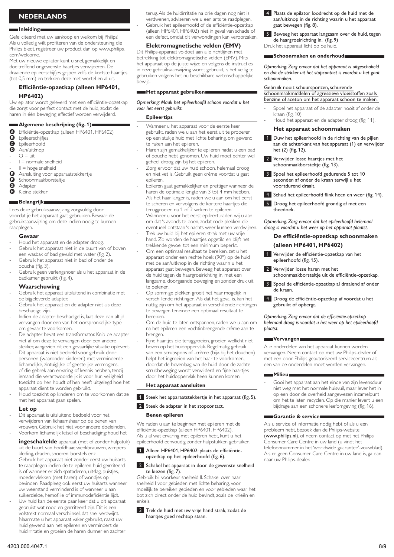# **Nederlands**

## **Inleiding**

Gefeliciteerd met uw aankoop en welkom bij Philips! Als u volledig wilt profiteren van de ondersteuning die Philips biedt, registreer uw product dan op www.philips. com/welcome.

Met uw nieuwe epilator kunt u snel, gemakkelijk en doeltreffend ongewenste haartjes verwijderen. De draaiende epileerschijfjes grijpen zelfs de kortste haartjes (tot 0,5 mm) en trekken deze met wortel en al uit.

# **Efficiëntie-opzetkap (alleen HP6401,**

# **HP6402)**

Uw epilator wordt geleverd met een efficiëntie-opzetkap die zorgt voor perfect contact met de huid, zodat de haren in één beweging effectief worden verwijderd.

## **Algemene beschrijving (fig. 1)**

- **A** Efficiëntie-opzetkap (alleen HP6401, HP6402)<br>**B** Epileerschiifies
- **B** Epileerschijfjes
- **O** Epileerhoofd<br>**O** Aan/uitknon
- Aan/uitknop
- $Q = \text{u}$ - -
- I = normale snelheid
- $II = hoge$  snelheid -
- $\Theta$  Aansluiting voor apparaatstekkertje
- G Schoonmaakborsteltje<br>G Adapter
- **G** Adapter<br>**G** Kleine st Kleine stekker

# **Belangrijk**

Lees deze gebruiksaanwijzing zorgvuldig door voordat je het apparaat gaat gebruiken. Bewaar de gebruiksaanwijzing om deze indien nodig te kunnen raadplegen.

## **Gevaar**

- Houd het apparaat en de adapter droog. -
- Gebruik het apparaat niet in de buurt van of boven een wasbak of bad gevuld met water (fig. 2). -
- Gebruik het apparaat niet in bad of onder de douche (fig. 3). -
- Gebruik geen verlengsnoer als u het apparaat in de badkamer gebruikt (fig. 4). -

# **Waarschuwing**

- Gebruik het apparaat uitsluitend in combinatie met de bijgeleverde adapter. -
- Gebruik het apparaat en de adapter niet als deze beschadigd zijn. -
- Indien de adapter beschadigd is, laat deze dan altijd vervangen door een van het oorspronkelijke type om gevaar te voorkomen. -
- De adapter bevat een transformator. Knip de adapter niet af om deze te vervangen door een andere stekker, aangezien dit een gevaarlijke situatie oplevert. -
- Dit apparaat is niet bedoeld voor gebruik door personen (waaronder kinderen) met verminderde lichamelijke, zintuiglijke of geestelijke vermogens, of die gebrek aan ervaring of kennis hebben, tenzij iemand die verantwoordelijk is voor hun veiligheid toezicht op hen houdt of hen heeft uitgelegd hoe het apparaat dient te worden gebruikt. -
- Houd toezicht op kinderen om te voorkomen dat ze met het apparaat gaan spelen. -

## **Let op**

Dit apparaat is uitsluitend bedoeld voor het verwijderen van lichaamshaar op de benen van vrouwen. Gebruik het niet voor andere doeleinden. Voorkom lichamelijk letsel of beschadiging: houd het - -

**ingeschakelde** apparaat (met of zonder hulpstuk) uit de buurt van hoofdhaar, wenkbrauwen, wimpers, kleding, draden, snoeren, borstels enz.

- Gebruik het apparaat niet zonder eerst uw huisarts te raadplegen indien de te epileren huid geïrriteerd is of wanneer er zich spataderen, uitslag, puistjes, moedervlekken (met haren) of wondjes op bevinden. Raadpleeg ook eerst uw huisarts wanneer uw weerstand verminderd is of wanneer u aan suikerziekte, hemofilie of immunodeficiëntie lijdt. -
- Uw huid kan de eerste paar keer dat u dit apparaat gebruikt wat rood en geïrriteerd zijn. Dit is een volstrekt normaal verschijnsel, dat snel verdwijnt. Naarmate u het apparaat vaker gebruikt, raakt uw huid gewend aan het epileren en vermindert de huidirritatie en groeien de haren dunner en zachter -

terug. Als de huidirritatie na drie dagen nog niet is verdwenen, adviseren we u een arts te raadplegen. Gebruik het epileerhoofd of de efficiëntie-opzetkap (alleen HP6401, HP6402) niet in geval van schade of een defect, omdat dit verwondingen kan veroorzaken.

# **Elektromagnetische velden (EMV)**

Dit Philips-apparaat voldoet aan alle richtlijnen met betrekking tot elektromagnetische velden (EMV). Mits het apparaat op de juiste wijze en volgens de instructies in deze gebruiksaanwijzing wordt gebruikt, is het veilig te gebruiken volgens het nu beschikbare wetenschappelijke bewijs.

# **Het apparaat gebruiken**

# *Opmerking: Maak het epileerhoofd schoon voordat u het voor het eerst gebruikt.*

## **Epileertips**

-

-

-

-

-

- Wanneer u het apparaat voor de eerste keer gebruikt, raden we u aan het eerst uit te proberen op een stukje huid met lichte beharing, om gewend te raken aan het epileren.
- Haren zijn gemakkelijker te epileren nadat u een bad of douche hebt genomen. Uw huid moet echter wel geheel droog zijn bij het epileren. -
- Zorg ervoor dat uw huid schoon, helemaal droog en niet vet is. Gebruik geen crème voordat u gaat epileren. -
- Epileren gaat gemakkelijker en prettiger wanneer de haren de optimale lengte van 3 tot 4 mm hebben. Als het haar langer is, raden we u aan om het eerst te scheren en vervolgens de kortere haartjes die teruggroeien na 1 of 2 weken te epileren. -
- Wanneer u voor het eerst epileert, raden wij u aan om dat 's avonds te doen, zodat rode plekken die eventueel ontstaan 's nachts weer kunnen verdwijnen. -
- Trek uw huid bij het epileren strak met uw vrije hand. Zo worden de haartjes opgetild en blijft het trekkende gevoel tot een minimum beperkt. -
	- Om een optimaal resultaat te bereiken, zet u het apparaat onder een rechte hoek (90°) op de huid met de aan/uitknop in de richting waarin u het apparaat gaat bewegen. Beweeg het apparaat over de huid tegen de haargroeirichting in, met een langzame, doorgaande beweging en zonder druk uit te oefenen.
- Op sommige plekken groeit het haar mogelijk in verschillende richtingen. Als dat het geval is, kan het nuttig zijn om het apparaat in verschillende richtingen te bewegen teneinde een optimaal resultaat te bereiken.
- Om de huid te laten ontspannen, raden we u aan om na het epileren een vochtinbrengende crème aan te brengen.
- Fijne haartjes die teruggroeien, groeien wellicht niet boven op het huidoppervlak. Regelmatig gebruik van een scrubspons of -crème (bijv. bij het douchen) helpt het ingroeien van het haar te voorkomen, doordat de bovenlaag van de huid door de zachte scrubbeweging wordt verwijderd en fijne haartjes door het huidoppervlak heen kunnen komen. -

# **Het apparaat aansluiten**

1 Steek het apparaatstekkertje in het apparaat (fig. 5).

## 2 Steek de adapter in het stopcontact.

# **Benen epileren**

We raden u aan te beginnen met epileren met de efficiëntie-opzetkap (alleen HP6401, HP6402). Als u al wat ervaring met epileren hebt, kunt u het epileerhoofd eenvoudig zonder hulpstukken gebruiken.

# 1 Alleen HP6401, HP6402: plaats de efficiëntieopzetkap op het epileerhoofd (fig. 6).

## 2 Schakel het apparaat in door de gewenste snelheid te kiezen (fig. 7).

Gebruik bij voorkeur snelheid II. Schakel over naar snelheid I voor gebieden met lichte beharing, voor moeilijk te bereiken gebieden en voor gebieden waar het bot zich direct onder de huid bevindt, zoals de knieën en enkels.

## **3** Trek de huid met uw vrije hand strak, zodat de haartjes goed rechtop staan.

- **4** Plaats de epilator loodrecht op de huid met de aan/uitknop in de richting waarin u het apparaat gaat bewegen (fig. 8).
- 5 Beweeg het apparaat langzaam over de huid, tegen de haargroeirichting in. (fig. 9) Druk het apparaat licht op de huid.

## **Schoonmaken en onderhoud**

*Opmerking: Zorg ervoor dat het apparaat is uitgeschakeld en dat de stekker uit het stopcontact is voordat u het gaat schoonmaken.* 

#### Gebruik nooit schuursponzen, schurende

## schoonmaakmiddelen of agressieve vloeistoffen zoals benzine of aceton om het apparaat schoon te maken.

- Spoel het apparaat of de adapter nooit af onder de kraan (fig. 10). -
- Houd het apparaat en de adapter droog (fig. 11). -

## **Het apparaat schoonmaken**

- 1 Duw het epileerhoofd in de richting van de pijlen aan de achterkant van het apparaat (1) en verwijder het (2) (fig. 12).
- **2** Verwijder losse haartjes met het schoonmaakborsteltje (fig. 13).
- **3** Spoel het epileerhoofd gedurende 5 tot 10 seconden af onder de kraan terwijl u het voortdurend draait.
- 4 Schud het epileerhoofd flink heen en weer (fig. 14).
- 5 Droog het epileerhoofd grondig af met een theedoek.

*Opmerking: Zorg ervoor dat het epileerhoofd helemaal droog is voordat u het weer op het apparaat plaatst.*

# **De efficiëntie-opzetkap schoonmaken (alleen HP6401, HP6402)**

- Verwijder de efficiëntie-opzetkap van het epileerhoofd (fig. 15).
- Verwijder losse haren met het schoonmaakborsteltje uit de efficiëntie-opzetkap.
- **3** Spoel de efficiëntie-opzetkap al draaiend af onder de kraan.
- 4 Droog de efficiëntie-opzetkap af voordat u het gebruikt of opbergt.

*Opmerking: Zorg ervoor dat de efficiëntie-opzetkap helemaal droog is voordat u het weer op het epileerhoofd plaatst.*

## **Vervangen**

Alle onderdelen van het apparaat kunnen worden vervangen. Neem contact op met uw Philips-dealer of met een door Philips geautoriseerd servicecentrum als een van de onderdelen moet worden vervangen.

#### **Milieu**

Gooi het apparaat aan het einde van zijn levensduur niet weg met het normale huisvuil, maar lever het in op een door de overheid aangewezen inzamelpunt om het te laten recyclen. Op die manier levert u een bijdrage aan een schonere leefomgeving (fig. 16). -

## **Garantie & service**

Als u service of informatie nodig hebt of als u een probleem hebt, bezoek dan de Philips-website (www.philips.nl), of neem contact op met het Philips Consumer Care Centre in uw land (u vindt het telefoonnummer in het 'worldwide guarantee'-vouwblad). Als er geen Consumer Care Centre in uw land is, ga dan naar uw Philips-dealer.